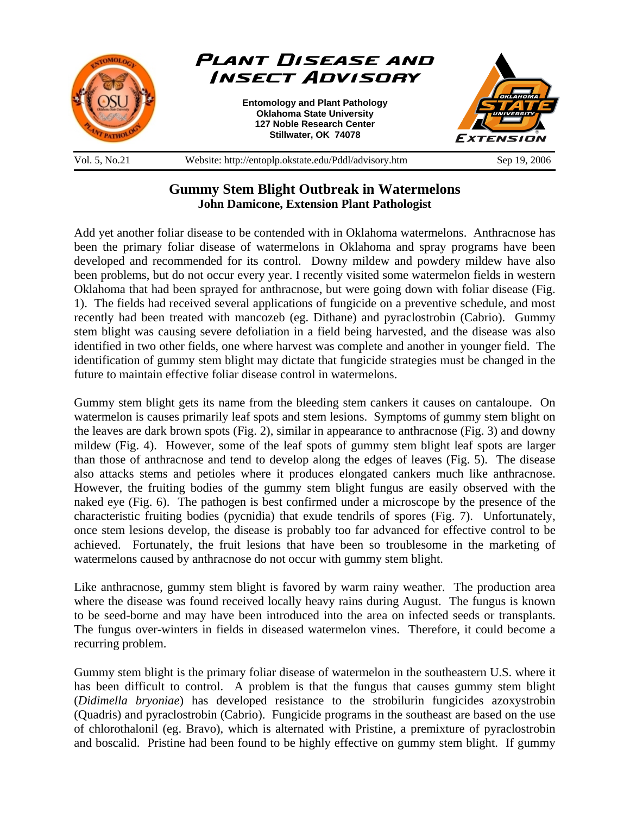

## **Gummy Stem Blight Outbreak in Watermelons John Damicone, Extension Plant Pathologist**

Add yet another foliar disease to be contended with in Oklahoma watermelons. Anthracnose has been the primary foliar disease of watermelons in Oklahoma and spray programs have been developed and recommended for its control. Downy mildew and powdery mildew have also been problems, but do not occur every year. I recently visited some watermelon fields in western Oklahoma that had been sprayed for anthracnose, but were going down with foliar disease (Fig. 1). The fields had received several applications of fungicide on a preventive schedule, and most recently had been treated with mancozeb (eg. Dithane) and pyraclostrobin (Cabrio). Gummy stem blight was causing severe defoliation in a field being harvested, and the disease was also identified in two other fields, one where harvest was complete and another in younger field. The identification of gummy stem blight may dictate that fungicide strategies must be changed in the future to maintain effective foliar disease control in watermelons.

Gummy stem blight gets its name from the bleeding stem cankers it causes on cantaloupe. On watermelon is causes primarily leaf spots and stem lesions. Symptoms of gummy stem blight on the leaves are dark brown spots (Fig. 2), similar in appearance to anthracnose (Fig. 3) and downy mildew (Fig. 4). However, some of the leaf spots of gummy stem blight leaf spots are larger than those of anthracnose and tend to develop along the edges of leaves (Fig. 5). The disease also attacks stems and petioles where it produces elongated cankers much like anthracnose. However, the fruiting bodies of the gummy stem blight fungus are easily observed with the naked eye (Fig. 6). The pathogen is best confirmed under a microscope by the presence of the characteristic fruiting bodies (pycnidia) that exude tendrils of spores (Fig. 7). Unfortunately, once stem lesions develop, the disease is probably too far advanced for effective control to be achieved. Fortunately, the fruit lesions that have been so troublesome in the marketing of watermelons caused by anthracnose do not occur with gummy stem blight.

Like anthracnose, gummy stem blight is favored by warm rainy weather. The production area where the disease was found received locally heavy rains during August. The fungus is known to be seed-borne and may have been introduced into the area on infected seeds or transplants. The fungus over-winters in fields in diseased watermelon vines. Therefore, it could become a recurring problem.

Gummy stem blight is the primary foliar disease of watermelon in the southeastern U.S. where it has been difficult to control. A problem is that the fungus that causes gummy stem blight (*Didimella bryoniae*) has developed resistance to the strobilurin fungicides azoxystrobin (Quadris) and pyraclostrobin (Cabrio). Fungicide programs in the southeast are based on the use of chlorothalonil (eg. Bravo), which is alternated with Pristine, a premixture of pyraclostrobin and boscalid. Pristine had been found to be highly effective on gummy stem blight. If gummy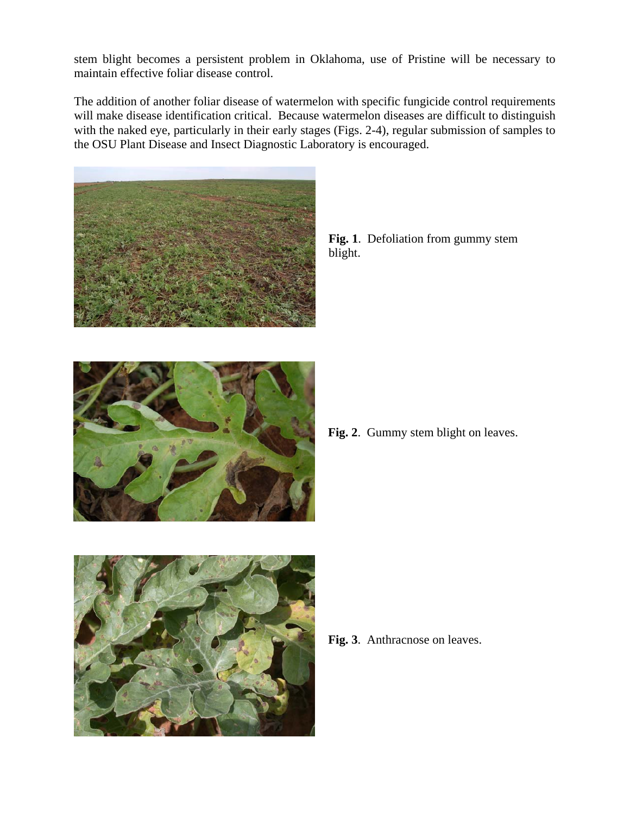stem blight becomes a persistent problem in Oklahoma, use of Pristine will be necessary to maintain effective foliar disease control.

The addition of another foliar disease of watermelon with specific fungicide control requirements will make disease identification critical. Because watermelon diseases are difficult to distinguish with the naked eye, particularly in their early stages (Figs. 2-4), regular submission of samples to the OSU Plant Disease and Insect Diagnostic Laboratory is encouraged.



**Fig. 1**. Defoliation from gummy stem blight.



**Fig. 2**. Gummy stem blight on leaves.



**Fig. 3**. Anthracnose on leaves.